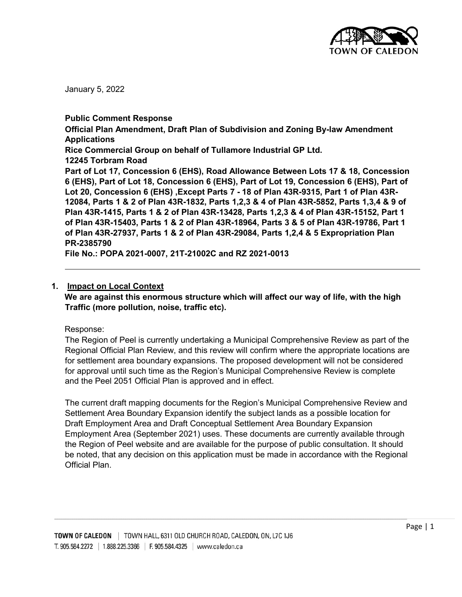

January 5, 2022

**Public Comment Response**

**Official Plan Amendment, Draft Plan of Subdivision and Zoning By-law Amendment Applications**

**Rice Commercial Group on behalf of Tullamore Industrial GP Ltd.**

**12245 Torbram Road** 

**Part of Lot 17, Concession 6 (EHS), Road Allowance Between Lots 17 & 18, Concession 6 (EHS), Part of Lot 18, Concession 6 (EHS), Part of Lot 19, Concession 6 (EHS), Part of Lot 20, Concession 6 (EHS) ,Except Parts 7 - 18 of Plan 43R-9315, Part 1 of Plan 43R-12084, Parts 1 & 2 of Plan 43R-1832, Parts 1,2,3 & 4 of Plan 43R-5852, Parts 1,3,4 & 9 of Plan 43R-1415, Parts 1 & 2 of Plan 43R-13428, Parts 1,2,3 & 4 of Plan 43R-15152, Part 1 of Plan 43R-15403, Parts 1 & 2 of Plan 43R-18964, Parts 3 & 5 of Plan 43R-19786, Part 1 of Plan 43R-27937, Parts 1 & 2 of Plan 43R-29084, Parts 1,2,4 & 5 Expropriation Plan PR-2385790**

**File No.: POPA 2021-0007, 21T-21002C and RZ 2021-0013**

## **1. Impact on Local Context**

**We are against this enormous structure which will affect our way of life, with the high Traffic (more pollution, noise, traffic etc).**

Response:

The Region of Peel is currently undertaking a Municipal Comprehensive Review as part of the Regional Official Plan Review, and this review will confirm where the appropriate locations are for settlement area boundary expansions. The proposed development will not be considered for approval until such time as the Region's Municipal Comprehensive Review is complete and the Peel 2051 Official Plan is approved and in effect.

The current draft mapping documents for the Region's Municipal Comprehensive Review and Settlement Area Boundary Expansion identify the subject lands as a possible location for Draft Employment Area and Draft Conceptual Settlement Area Boundary Expansion Employment Area (September 2021) uses. These documents are currently available through the Region of Peel website and are available for the purpose of public consultation. It should be noted, that any decision on this application must be made in accordance with the Regional Official Plan.